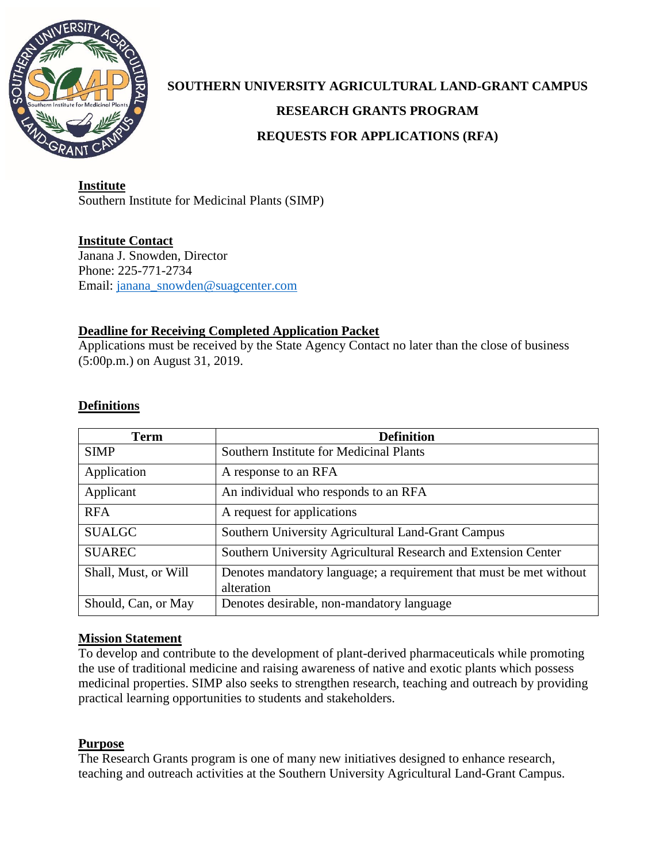

# **SOUTHERN UNIVERSITY AGRICULTURAL LAND-GRANT CAMPUS RESEARCH GRANTS PROGRAM REQUESTS FOR APPLICATIONS (RFA)**

**Institute** Southern Institute for Medicinal Plants (SIMP)

**Institute Contact** Janana J. Snowden, Director Phone: 225-771-2734 Email: [janana\\_snowden@suagcenter.com](mailto:janana_snowden@suagcenter.com)

# **Deadline for Receiving Completed Application Packet**

Applications must be received by the State Agency Contact no later than the close of business (5:00p.m.) on August 31, 2019.

# **Definitions**

| <b>Term</b>          | <b>Definition</b>                                                                |
|----------------------|----------------------------------------------------------------------------------|
| <b>SIMP</b>          | Southern Institute for Medicinal Plants                                          |
| Application          | A response to an RFA                                                             |
| Applicant            | An individual who responds to an RFA                                             |
| <b>RFA</b>           | A request for applications                                                       |
| <b>SUALGC</b>        | Southern University Agricultural Land-Grant Campus                               |
| <b>SUAREC</b>        | Southern University Agricultural Research and Extension Center                   |
| Shall, Must, or Will | Denotes mandatory language; a requirement that must be met without<br>alteration |
| Should, Can, or May  | Denotes desirable, non-mandatory language                                        |

# **Mission Statement**

To develop and contribute to the development of plant-derived pharmaceuticals while promoting the use of traditional medicine and raising awareness of native and exotic plants which possess medicinal properties. SIMP also seeks to strengthen research, teaching and outreach by providing practical learning opportunities to students and stakeholders.

## **Purpose**

The Research Grants program is one of many new initiatives designed to enhance research, teaching and outreach activities at the Southern University Agricultural Land-Grant Campus.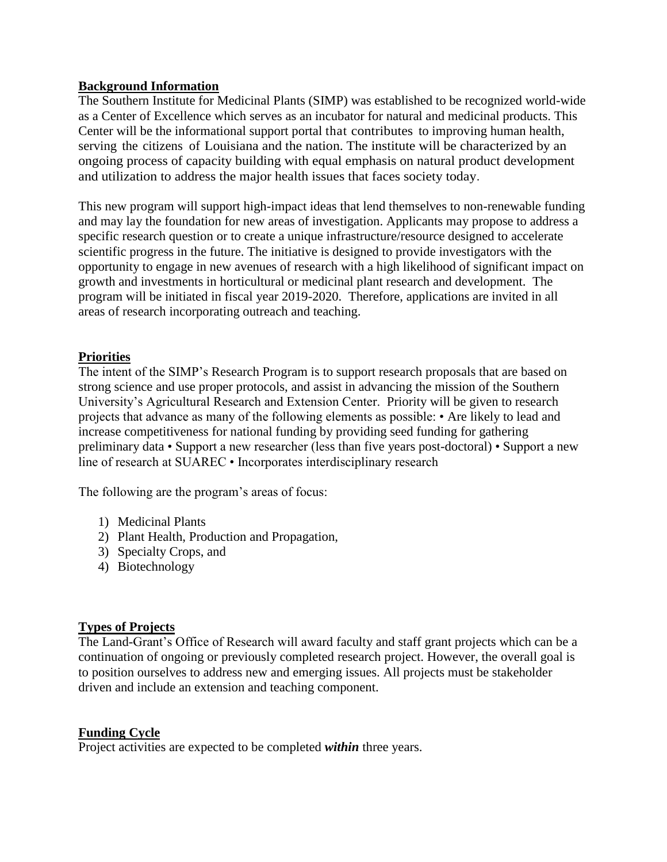## **Background Information**

The Southern Institute for Medicinal Plants (SIMP) was established to be recognized world-wide as a Center of Excellence which serves as an incubator for natural and medicinal products. This Center will be the informational support portal that contributes to improving human health, serving the citizens of Louisiana and the nation. The institute will be characterized by an ongoing process of capacity building with equal emphasis on natural product development and utilization to address the major health issues that faces society today.

This new program will support high-impact ideas that lend themselves to non-renewable funding and may lay the foundation for new areas of investigation. Applicants may propose to address a specific research question or to create a unique infrastructure/resource designed to accelerate scientific progress in the future. The initiative is designed to provide investigators with the opportunity to engage in new avenues of research with a high likelihood of significant impact on growth and investments in horticultural or medicinal plant research and development. The program will be initiated in fiscal year 2019-2020. Therefore, applications are invited in all areas of research incorporating outreach and teaching.

# **Priorities**

The intent of the SIMP's Research Program is to support research proposals that are based on strong science and use proper protocols, and assist in advancing the mission of the Southern University's Agricultural Research and Extension Center. Priority will be given to research projects that advance as many of the following elements as possible: • Are likely to lead and increase competitiveness for national funding by providing seed funding for gathering preliminary data • Support a new researcher (less than five years post-doctoral) • Support a new line of research at SUAREC • Incorporates interdisciplinary research

The following are the program's areas of focus:

- 1) Medicinal Plants
- 2) Plant Health, Production and Propagation,
- 3) Specialty Crops, and
- 4) Biotechnology

## **Types of Projects**

The Land-Grant's Office of Research will award faculty and staff grant projects which can be a continuation of ongoing or previously completed research project. However, the overall goal is to position ourselves to address new and emerging issues. All projects must be stakeholder driven and include an extension and teaching component.

# **Funding Cycle**

Project activities are expected to be completed *within* three years.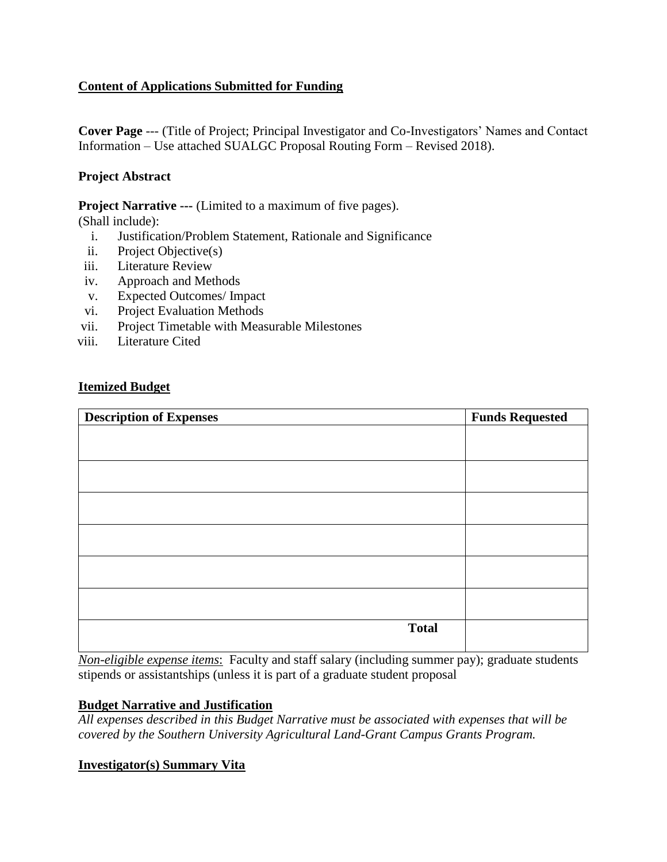# **Content of Applications Submitted for Funding**

**Cover Page** --- (Title of Project; Principal Investigator and Co-Investigators' Names and Contact Information – Use attached SUALGC Proposal Routing Form – Revised 2018).

## **Project Abstract**

**Project Narrative ---** (Limited to a maximum of five pages).

(Shall include):

- i. Justification/Problem Statement, Rationale and Significance
- ii. Project Objective(s)
- iii. Literature Review
- iv. Approach and Methods
- v. Expected Outcomes/ Impact
- vi. Project Evaluation Methods
- vii. Project Timetable with Measurable Milestones
- viii. Literature Cited

## **Itemized Budget**

| <b>Description of Expenses</b> | <b>Funds Requested</b> |
|--------------------------------|------------------------|
|                                |                        |
|                                |                        |
|                                |                        |
|                                |                        |
|                                |                        |
|                                |                        |
|                                |                        |
|                                |                        |
|                                |                        |
|                                |                        |
|                                |                        |
| <b>Total</b>                   |                        |
|                                |                        |

*Non-eligible expense items*: Faculty and staff salary (including summer pay); graduate students stipends or assistantships (unless it is part of a graduate student proposal

## **Budget Narrative and Justification**

*All expenses described in this Budget Narrative must be associated with expenses that will be covered by the Southern University Agricultural Land-Grant Campus Grants Program.*

## **Investigator(s) Summary Vita**